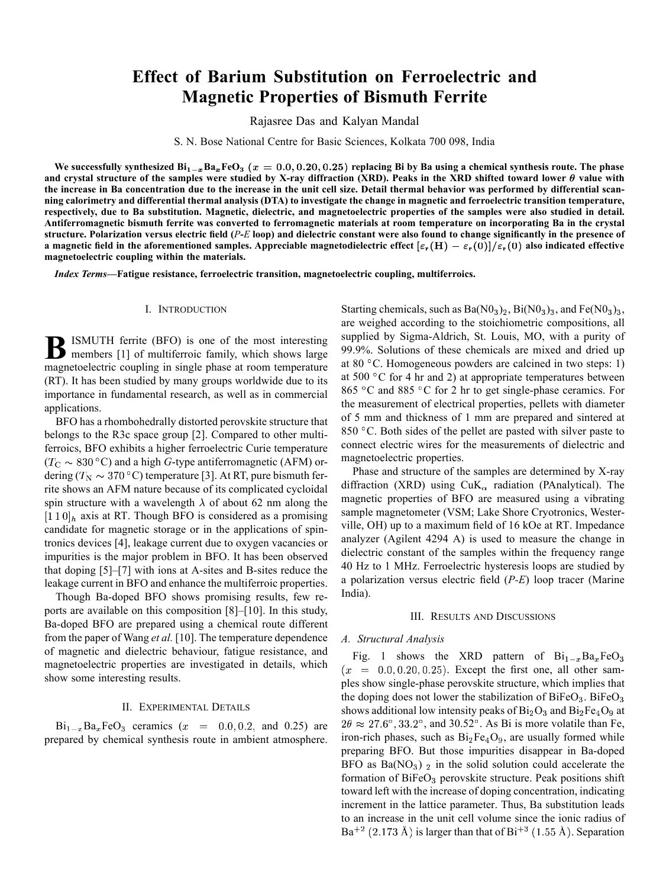# **Effect of Barium Substitution on Ferroelectric and Magnetic Properties of Bismuth Ferrite**

Rajasree Das and Kalyan Mandal

S. N. Bose National Centre for Basic Sciences, Kolkata 700 098, India

We successfully synthesized  $\text{Bi}_{1-x}\text{Ba}_x\text{FeO}_3$  ( $x = 0.0, 0.20, 0.25$ ) replacing Bi by Ba using a chemical synthesis route. The phase and crystal structure of the samples were studied by X-ray diffraction (XRD). Peaks in the XRD shifted toward lower  $\theta$  value with **the increase in Ba concentration due to the increase in the unit cell size. Detail thermal behavior was performed by differential scanning calorimetry and differential thermal analysis (DTA) to investigate the change in magnetic and ferroelectric transition temperature, respectively, due to Ba substitution. Magnetic, dielectric, and magnetoelectric properties of the samples were also studied in detail. Antiferromagnetic bismuth ferrite was converted to ferromagnetic materials at room temperature on incorporating Ba in the crystal structure. Polarization versus electric field (***P***-***E* **loop) and dielectric constant were also found to change significantly in the presence of a** magnetic field in the aforementioned samples. Appreciable magnetodielectric effect  $[\varepsilon_r(H) - \varepsilon_r(0)]/\varepsilon_r(0)$  also indicated effective **magnetoelectric coupling within the materials.**

*Index Terms—***Fatigue resistance, ferroelectric transition, magnetoelectric coupling, multiferroics.**

### I. INTRODUCTION

**B**ISMUTH ferrite (BFO) is one of the most interesting<br>members [1] of multiferroic family, which shows large magnetoelectric coupling in single phase at room temperature (RT). It has been studied by many groups worldwide due to its importance in fundamental research, as well as in commercial applications.

BFO has a rhombohedrally distorted perovskite structure that belongs to the R3c space group [2]. Compared to other multiferroics, BFO exhibits a higher ferroelectric Curie temperature  $(T_{\rm C} \sim 830 \degree C)$  and a high *G*-type antiferromagnetic (AFM) ordering ( $T_{\rm N} \sim 370$  °C) temperature [3]. At RT, pure bismuth ferrite shows an AFM nature because of its complicated cycloidal spin structure with a wavelength  $\lambda$  of about 62 nm along the  $[1 1 0]_h$  axis at RT. Though BFO is considered as a promising candidate for magnetic storage or in the applications of spintronics devices [4], leakage current due to oxygen vacancies or impurities is the major problem in BFO. It has been observed that doping [5]–[7] with ions at A-sites and B-sites reduce the leakage current in BFO and enhance the multiferroic properties.

Though Ba-doped BFO shows promising results, few reports are available on this composition [8]–[10]. In this study, Ba-doped BFO are prepared using a chemical route different from the paper of Wang *et al.* [10]. The temperature dependence of magnetic and dielectric behaviour, fatigue resistance, and magnetoelectric properties are investigated in details, which show some interesting results.

## II. EXPERIMENTAL DETAILS

 $Bi_{1-x}Ba_xFeO_3$  ceramics  $(x = 0.0, 0.2,$  and 0.25) are prepared by chemical synthesis route in ambient atmosphere.

Starting chemicals, such as  $Ba(N0<sub>3</sub>)<sub>2</sub>$ ,  $Bi(N0<sub>3</sub>)<sub>3</sub>$ , and  $Fe(N0<sub>3</sub>)<sub>3</sub>$ , are weighed according to the stoichiometric compositions, all supplied by Sigma-Aldrich, St. Louis, MO, with a purity of 99.9%. Solutions of these chemicals are mixed and dried up at 80 $\degree$ C. Homogeneous powders are calcined in two steps: 1) at 500  $\degree$ C for 4 hr and 2) at appropriate temperatures between 865 °C and 885 °C for 2 hr to get single-phase ceramics. For the measurement of electrical properties, pellets with diameter of 5 mm and thickness of 1 mm are prepared and sintered at 850  $\degree$ C. Both sides of the pellet are pasted with silver paste to connect electric wires for the measurements of dielectric and magnetoelectric properties.

Phase and structure of the samples are determined by X-ray diffraction (XRD) using  $CuK_{\alpha}$  radiation (PAnalytical). The magnetic properties of BFO are measured using a vibrating sample magnetometer (VSM; Lake Shore Cryotronics, Westerville, OH) up to a maximum field of 16 kOe at RT. Impedance analyzer (Agilent 4294 A) is used to measure the change in dielectric constant of the samples within the frequency range 40 Hz to 1 MHz. Ferroelectric hysteresis loops are studied by a polarization versus electric field (*P-E*) loop tracer (Marine India).

## III. RESULTS AND DISCUSSIONS

#### *A. Structural Analysis*

Fig. 1 shows the XRD pattern of  $Bi_{1-x}Ba_xFeO_3$  $(x = 0.0, 0.20, 0.25)$ . Except the first one, all other samples show single-phase perovskite structure, which implies that the doping does not lower the stabilization of  $BiFeO<sub>3</sub>$ . BiFeO<sub>3</sub> shows additional low intensity peaks of  $Bi<sub>2</sub>O<sub>3</sub>$  and  $Bi<sub>2</sub>Fe<sub>4</sub>O<sub>9</sub>$  at  $2\theta \approx 27.6^{\circ}$ ,  $33.2^{\circ}$ , and  $30.52^{\circ}$ . As Bi is more volatile than Fe, iron-rich phases, such as  $Bi_2Fe_4O_9$ , are usually formed while preparing BFO. But those impurities disappear in Ba-doped BFO as  $Ba(NO<sub>3</sub>)$  in the solid solution could accelerate the formation of  $BiFeO<sub>3</sub>$  perovskite structure. Peak positions shift toward left with the increase of doping concentration, indicating increment in the lattice parameter. Thus, Ba substitution leads to an increase in the unit cell volume since the ionic radius of  $Ba^{+2}$  (2.173 Å) is larger than that of  $Bi^{+3}$  (1.55 Å). Separation